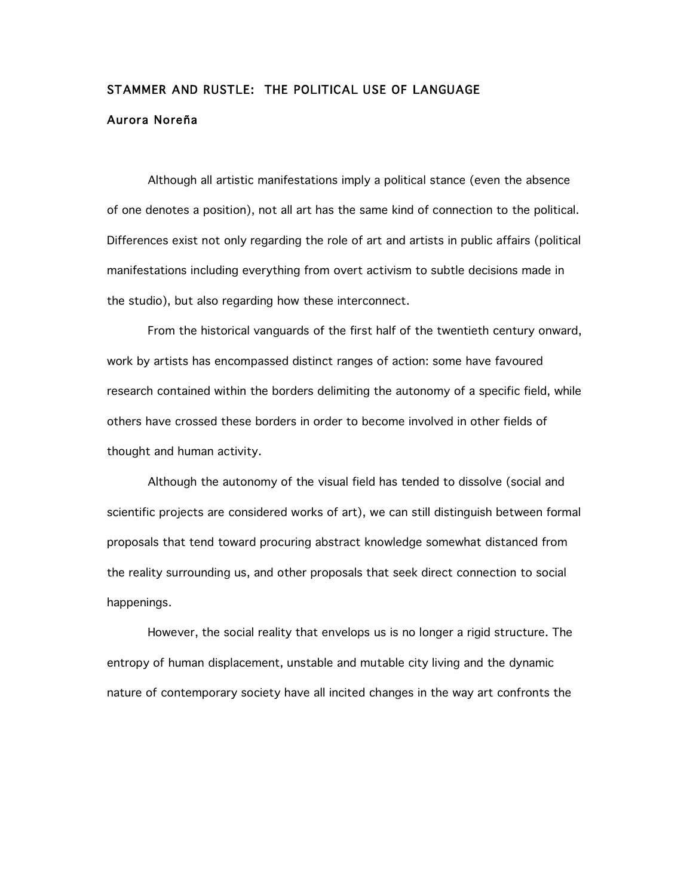## STAMMER AND RUSTLE: THE POLITICAL USE OF LANGUAGE Aurora Noreña

Although all artistic manifestations imply a political stance (even the absence of one denotes a position), not all art has the same kind of connection to the political. Differences exist not only regarding the role of art and artists in public affairs (political manifestations including everything from overt activism to subtle decisions made in the studio), but also regarding how these interconnect.

From the historical vanguards of the first half of the twentieth century onward, work by artists has encompassed distinct ranges of action: some have favoured research contained within the borders delimiting the autonomy of a specific field, while others have crossed these borders in order to become involved in other fields of thought and human activity.

Although the autonomy of the visual field has tended to dissolve (social and scientific projects are considered works of art), we can still distinguish between formal proposals that tend toward procuring abstract knowledge somewhat distanced from the reality surrounding us, and other proposals that seek direct connection to social happenings.

However, the social reality that envelops us is no longer a rigid structure. The entropy of human displacement, unstable and mutable city living and the dynamic nature of contemporary society have all incited changes in the way art confronts the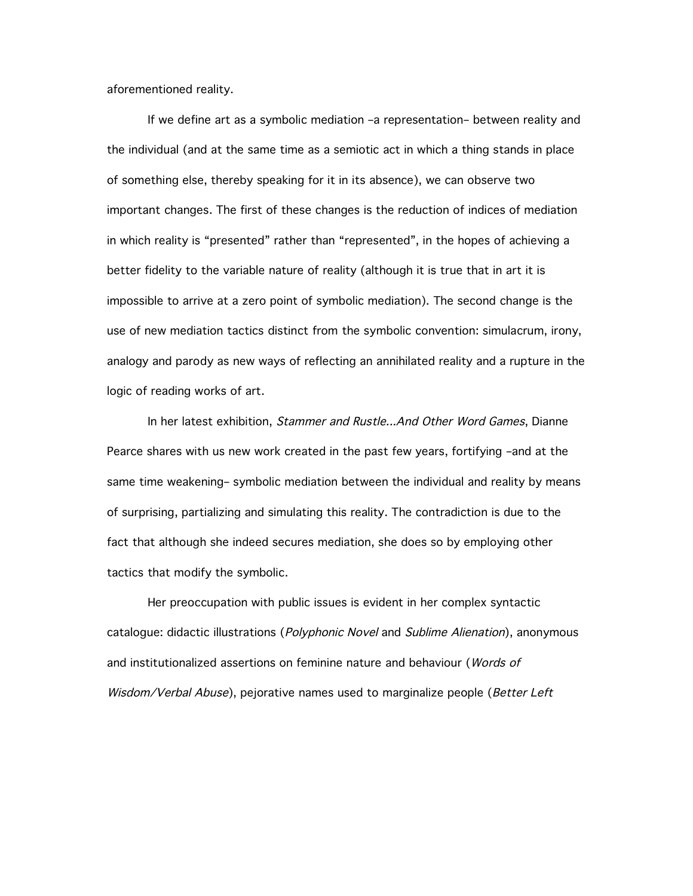aforementioned reality.

If we define art as a symbolic mediation –a representation– between reality and the individual (and at the same time as a semiotic act in which a thing stands in place of something else, thereby speaking for it in its absence), we can observe two important changes. The first of these changes is the reduction of indices of mediation in which reality is "presented" rather than "represented", in the hopes of achieving a better fidelity to the variable nature of reality (although it is true that in art it is impossible to arrive at a zero point of symbolic mediation). The second change is the use of new mediation tactics distinct from the symbolic convention: simulacrum, irony, analogy and parody as new ways of reflecting an annihilated reality and a rupture in the logic of reading works of art.

In her latest exhibition, *Stammer and Rustle...And Other Word Games*, Dianne Pearce shares with us new work created in the past few years, fortifying –and at the same time weakening– symbolic mediation between the individual and reality by means of surprising, partializing and simulating this reality. The contradiction is due to the fact that although she indeed secures mediation, she does so by employing other tactics that modify the symbolic.

Her preoccupation with public issues is evident in her complex syntactic catalogue: didactic illustrations (Polyphonic Novel and Sublime Alienation), anonymous and institutionalized assertions on feminine nature and behaviour (*Words of* Wisdom/Verbal Abuse), pejorative names used to marginalize people (Better Left)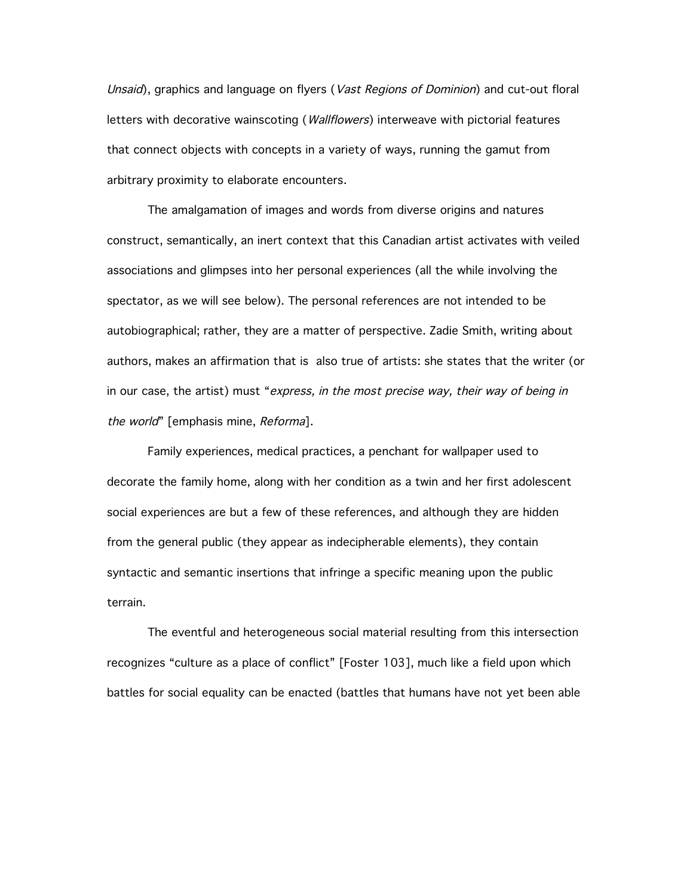Unsaid), graphics and language on flyers (Vast Regions of Dominion) and cut-out floral letters with decorative wainscoting (*Wallflowers*) interweave with pictorial features that connect objects with concepts in a variety of ways, running the gamut from arbitrary proximity to elaborate encounters.

The amalgamation of images and words from diverse origins and natures construct, semantically, an inert context that this Canadian artist activates with veiled associations and glimpses into her personal experiences (all the while involving the spectator, as we will see below). The personal references are not intended to be autobiographical; rather, they are a matter of perspective. Zadie Smith, writing about authors, makes an affirmation that is also true of artists: she states that the writer (or in our case, the artist) must "express, in the most precise way, their way of being in the world" [emphasis mine, Reforma].

Family experiences, medical practices, a penchant for wallpaper used to decorate the family home, along with her condition as a twin and her first adolescent social experiences are but a few of these references, and although they are hidden from the general public (they appear as indecipherable elements), they contain syntactic and semantic insertions that infringe a specific meaning upon the public terrain.

The eventful and heterogeneous social material resulting from this intersection recognizes "culture as a place of conflict" [Foster 103], much like a field upon which battles for social equality can be enacted (battles that humans have not yet been able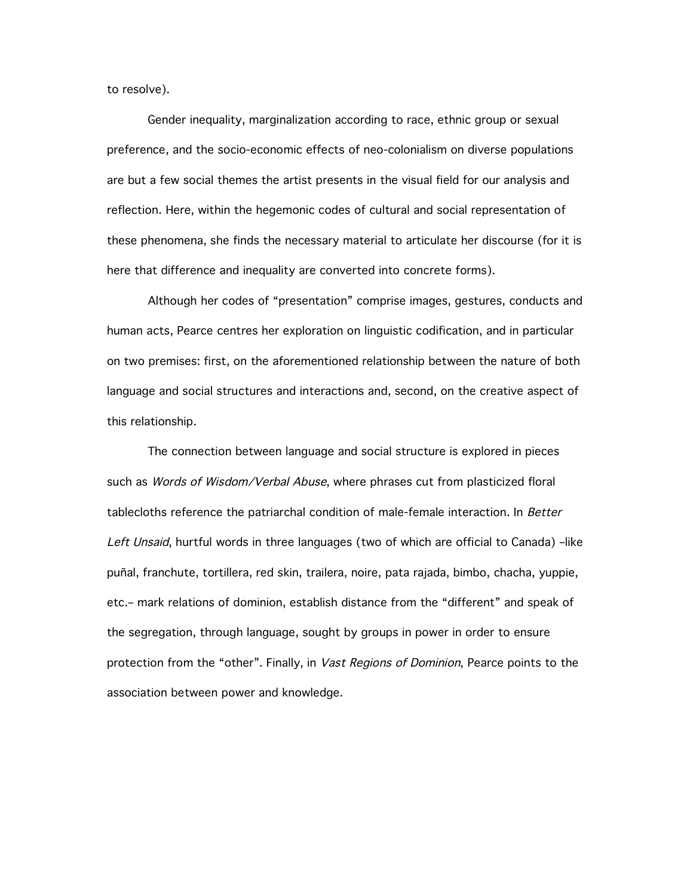to resolve).

Gender inequality, marginalization according to race, ethnic group or sexual preference, and the socio-economic effects of neo-colonialism on diverse populations are but a few social themes the artist presents in the visual field for our analysis and reflection. Here, within the hegemonic codes of cultural and social representation of these phenomena, she finds the necessary material to articulate her discourse (for it is here that difference and inequality are converted into concrete forms).

Although her codes of "presentation" comprise images, gestures, conducts and human acts, Pearce centres her exploration on linguistic codification, and in particular on two premises: first, on the aforementioned relationship between the nature of both language and social structures and interactions and, second, on the creative aspect of this relationship.

The connection between language and social structure is explored in pieces such as Words of Wisdom/Verbal Abuse, where phrases cut from plasticized floral tablecloths reference the patriarchal condition of male-female interaction. In Better Left Unsaid, hurtful words in three languages (two of which are official to Canada) –like puñal, franchute, tortillera, red skin, trailera, noire, pata rajada, bimbo, chacha, yuppie, etc.– mark relations of dominion, establish distance from the "different" and speak of the segregation, through language, sought by groups in power in order to ensure protection from the "other". Finally, in Vast Regions of Dominion, Pearce points to the association between power and knowledge.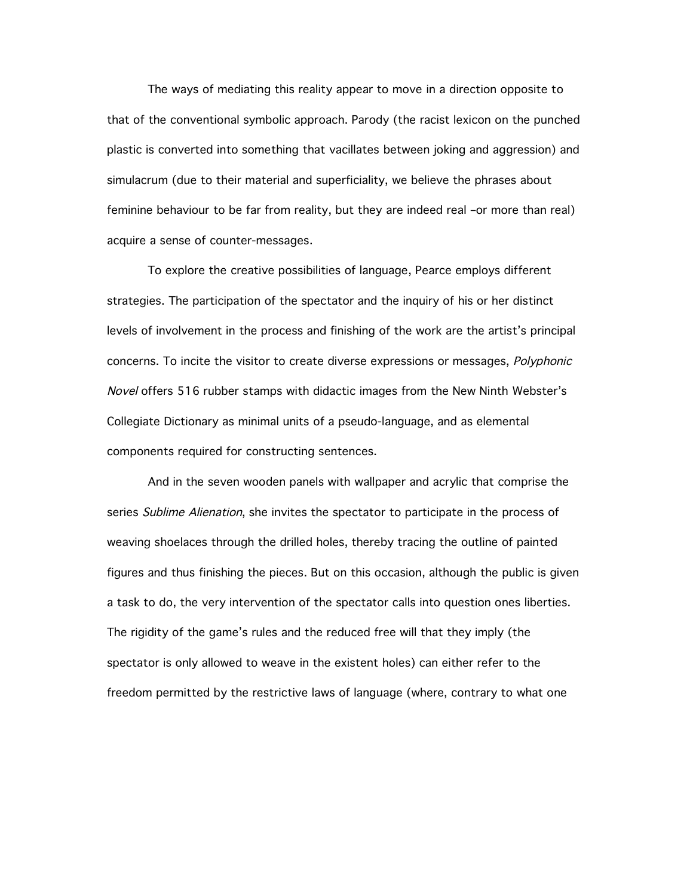The ways of mediating this reality appear to move in a direction opposite to that of the conventional symbolic approach. Parody (the racist lexicon on the punched plastic is converted into something that vacillates between joking and aggression) and simulacrum (due to their material and superficiality, we believe the phrases about feminine behaviour to be far from reality, but they are indeed real -or more than real) acquire a sense of counter-messages.

To explore the creative possibilities of language, Pearce employs different strategies. The participation of the spectator and the inquiry of his or her distinct levels of involvement in the process and finishing of the work are the artist's principal concerns. To incite the visitor to create diverse expressions or messages, *Polyphonic* Novel offers 516 rubber stamps with didactic images from the New Ninth Webster's Collegiate Dictionary as minimal units of a pseudo-language, and as elemental components required for constructing sentences.

And in the seven wooden panels with wallpaper and acrylic that comprise the series *Sublime Alienation*, she invites the spectator to participate in the process of weaving shoelaces through the drilled holes, thereby tracing the outline of painted figures and thus finishing the pieces. But on this occasion, although the public is given a task to do, the very intervention of the spectator calls into question ones liberties. The rigidity of the game's rules and the reduced free will that they imply (the spectator is only allowed to weave in the existent holes) can either refer to the freedom permitted by the restrictive laws of language (where, contrary to what one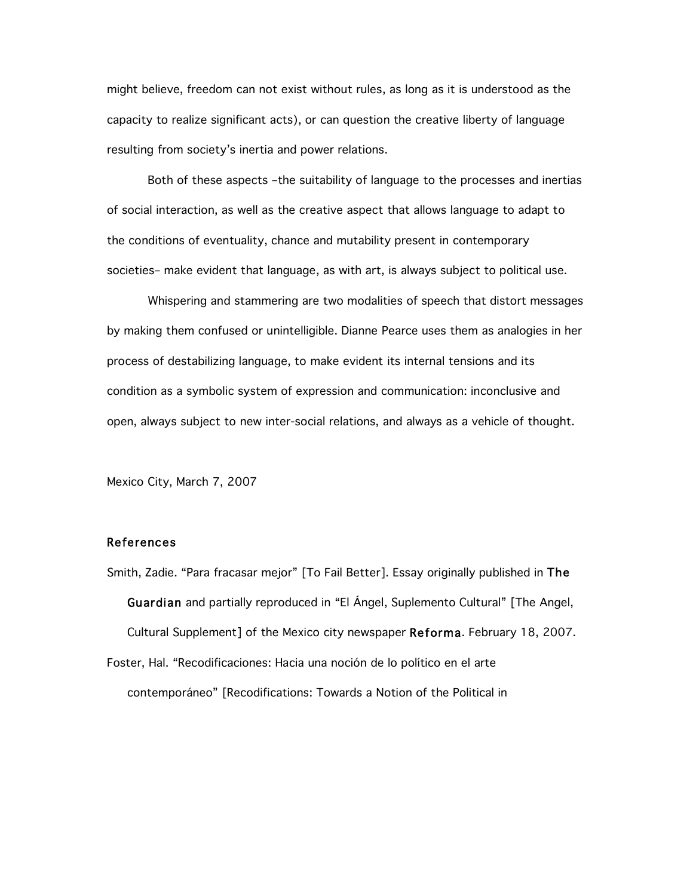might believe, freedom can not exist without rules, as long as it is understood as the capacity to realize significant acts), or can question the creative liberty of language resulting from society's inertia and power relations.

Both of these aspects –the suitability of language to the processes and inertias of social interaction, as well as the creative aspect that allows language to adapt to the conditions of eventuality, chance and mutability present in contemporary societies– make evident that language, as with art, is always subject to political use.

Whispering and stammering are two modalities of speech that distort messages by making them confused or unintelligible. Dianne Pearce uses them as analogies in her process of destabilizing language, to make evident its internal tensions and its condition as a symbolic system of expression and communication: inconclusive and open, always subject to new inter-social relations, and always as a vehicle of thought.

Mexico City, March 7, 2007

## References

Smith, Zadie. "Para fracasar mejor" [To Fail Better]. Essay originally published in The Guardian and partially reproduced in "El Ángel, Suplemento Cultural" [The Angel, Cultural Supplement] of the Mexico city newspaper Reforma. February 18, 2007. Foster, Hal. "Recodificaciones: Hacia una noción de lo político en el arte contemporáneo" [Recodifications: Towards a Notion of the Political in